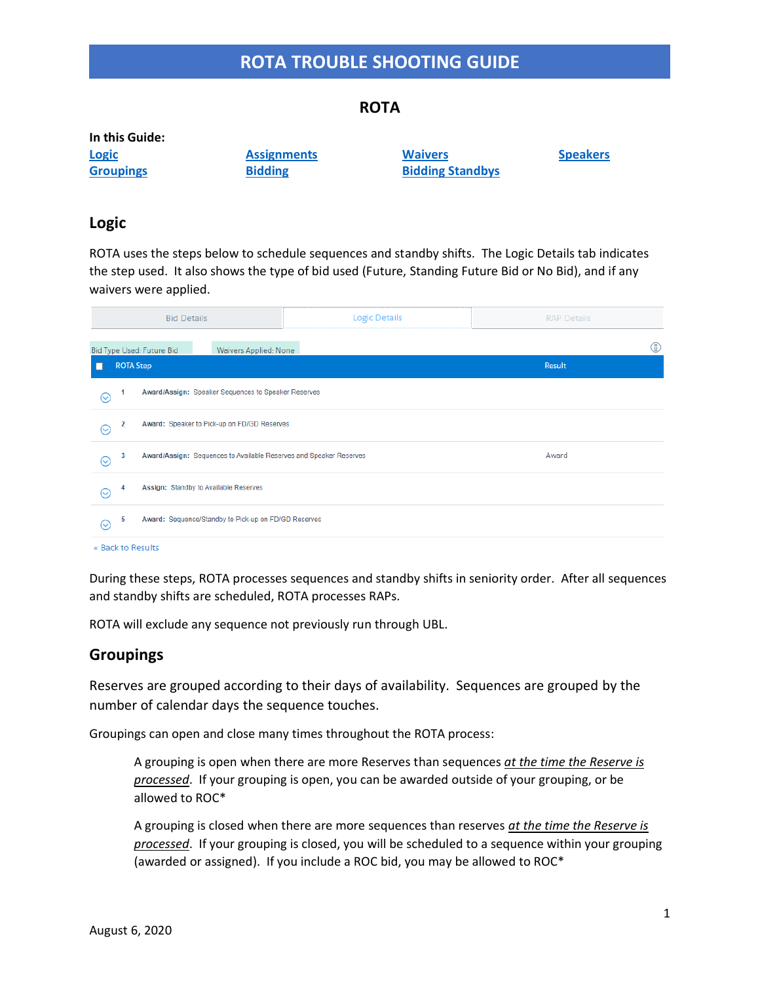# **ROTA**

| In this Guide:   |                    |                         |                 |
|------------------|--------------------|-------------------------|-----------------|
| <b>Logic</b>     | <b>Assignments</b> | <b>Waivers</b>          | <b>Speakers</b> |
| <b>Groupings</b> | <b>Bidding</b>     | <b>Bidding Standbys</b> |                 |

## <span id="page-0-0"></span>**Logic**

ROTA uses the steps below to schedule sequences and standby shifts. The Logic Details tab indicates the step used. It also shows the type of bid used (Future, Standing Future Bid or No Bid), and if any waivers were applied.

|                     |   | <b>Bid Details</b>                                                          | <b>Logic Details</b> | <b>RAP Details</b> |  |  |  |  |  |  |
|---------------------|---|-----------------------------------------------------------------------------|----------------------|--------------------|--|--|--|--|--|--|
|                     |   | Bid Type Used: Future Bid<br>Waivers Applied: None                          |                      | $\mathbb{O}$       |  |  |  |  |  |  |
|                     |   | <b>ROTA Step</b>                                                            |                      | Result             |  |  |  |  |  |  |
| $\odot$             | 1 | Award/Assign: Speaker Sequences to Speaker Reserves                         |                      |                    |  |  |  |  |  |  |
| ⊙                   | 2 | Award: Speaker to Pick-up on FD/GD Reserves                                 |                      |                    |  |  |  |  |  |  |
| $_{\odot}$          | 3 | Award<br>Award/Assign: Sequences to Available Reserves and Speaker Reserves |                      |                    |  |  |  |  |  |  |
| $\scriptstyle\odot$ | 4 | Assign: Standby to Available Reserves                                       |                      |                    |  |  |  |  |  |  |
| $\odot$             | 5 | Award: Sequence/Standby to Pick-up on FD/GD Reserves                        |                      |                    |  |  |  |  |  |  |
|                     |   | « Back to Results                                                           |                      |                    |  |  |  |  |  |  |

During these steps, ROTA processes sequences and standby shifts in seniority order. After all sequences and standby shifts are scheduled, ROTA processes RAPs.

ROTA will exclude any sequence not previously run through UBL.

### <span id="page-0-1"></span>**Groupings**

Reserves are grouped according to their days of availability. Sequences are grouped by the number of calendar days the sequence touches.

Groupings can open and close many times throughout the ROTA process:

A grouping is open when there are more Reserves than sequences *at the time the Reserve is processed*. If your grouping is open, you can be awarded outside of your grouping, or be allowed to ROC\*

A grouping is closed when there are more sequences than reserves *at the time the Reserve is processed*. If your grouping is closed, you will be scheduled to a sequence within your grouping (awarded or assigned). If you include a ROC bid, you may be allowed to ROC\*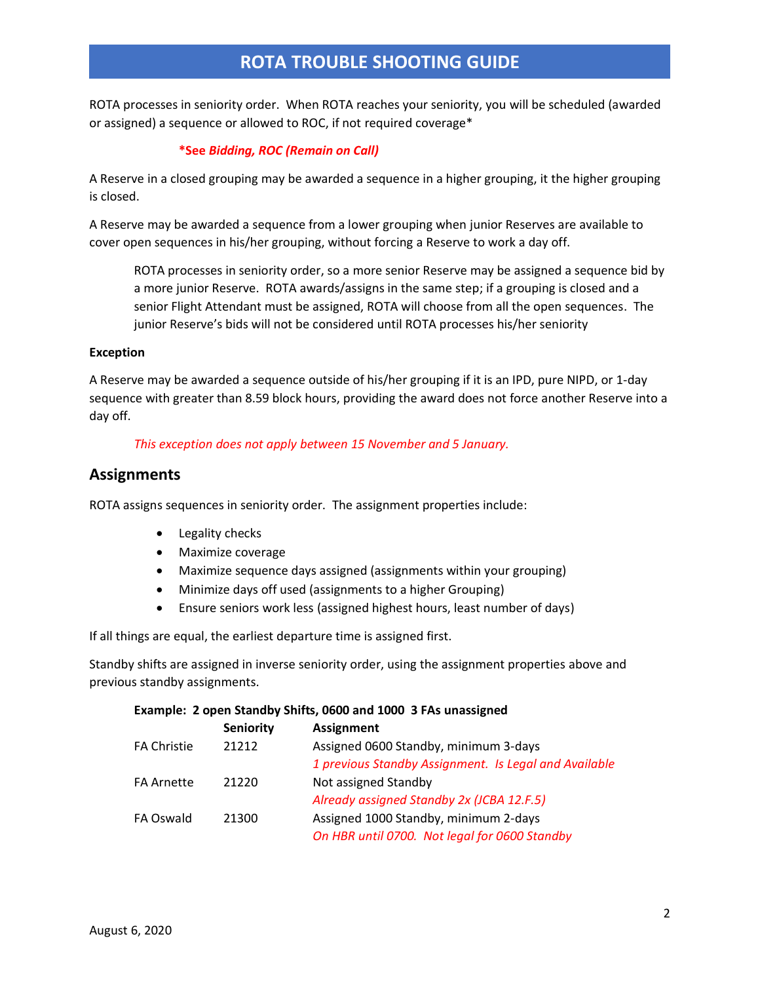ROTA processes in seniority order. When ROTA reaches your seniority, you will be scheduled (awarded or assigned) a sequence or allowed to ROC, if not required coverage\*

### **\*See** *Bidding, ROC (Remain on Call)*

A Reserve in a closed grouping may be awarded a sequence in a higher grouping, it the higher grouping is closed.

A Reserve may be awarded a sequence from a lower grouping when junior Reserves are available to cover open sequences in his/her grouping, without forcing a Reserve to work a day off.

ROTA processes in seniority order, so a more senior Reserve may be assigned a sequence bid by a more junior Reserve. ROTA awards/assigns in the same step; if a grouping is closed and a senior Flight Attendant must be assigned, ROTA will choose from all the open sequences. The junior Reserve's bids will not be considered until ROTA processes his/her seniority

#### **Exception**

A Reserve may be awarded a sequence outside of his/her grouping if it is an IPD, pure NIPD, or 1-day sequence with greater than 8.59 block hours, providing the award does not force another Reserve into a day off.

#### *This exception does not apply between 15 November and 5 January.*

## <span id="page-1-0"></span>**Assignments**

ROTA assigns sequences in seniority order. The assignment properties include:

- Legality checks
- Maximize coverage
- Maximize sequence days assigned (assignments within your grouping)
- Minimize days off used (assignments to a higher Grouping)
- Ensure seniors work less (assigned highest hours, least number of days)

If all things are equal, the earliest departure time is assigned first.

Standby shifts are assigned in inverse seniority order, using the assignment properties above and previous standby assignments.

#### **Example: 2 open Standby Shifts, 0600 and 1000 3 FAs unassigned**

|                    | <b>Seniority</b> | <b>Assignment</b>                                     |
|--------------------|------------------|-------------------------------------------------------|
| <b>FA Christie</b> | 21212            | Assigned 0600 Standby, minimum 3-days                 |
|                    |                  | 1 previous Standby Assignment. Is Legal and Available |
| <b>FA Arnette</b>  | 21220            | Not assigned Standby                                  |
|                    |                  | Already assigned Standby 2x (JCBA 12.F.5)             |
| FA Oswald          | 21300            | Assigned 1000 Standby, minimum 2-days                 |
|                    |                  | On HBR until 0700. Not legal for 0600 Standby         |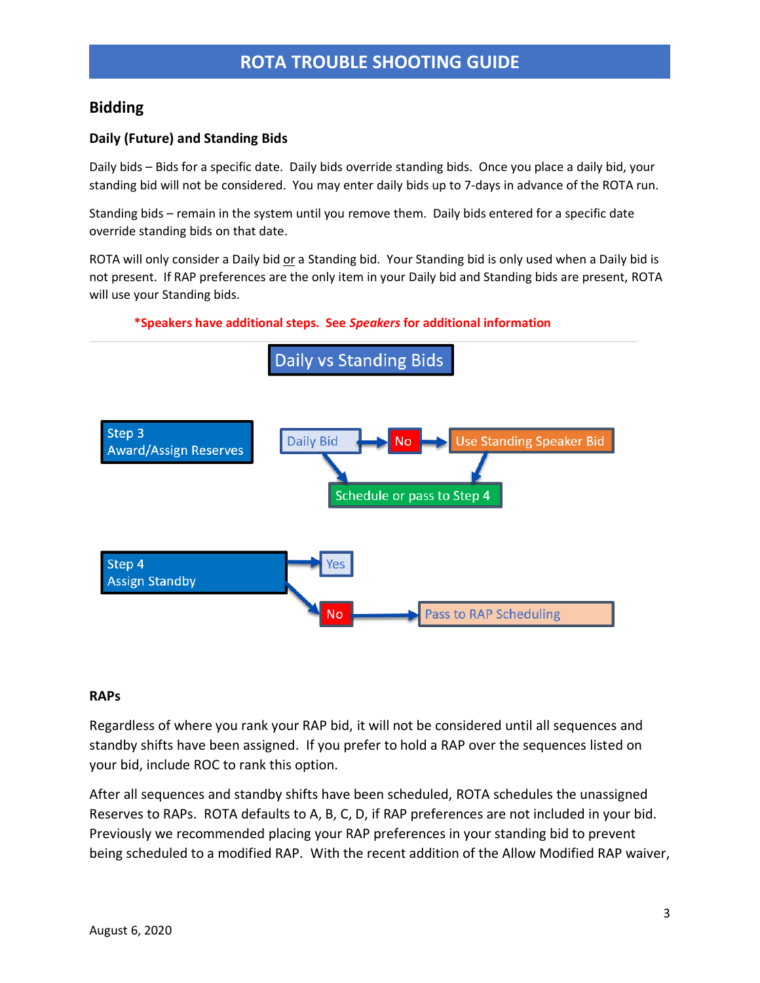# <span id="page-2-0"></span>**Bidding**

## **Daily (Future) and Standing Bids**

Daily bids – Bids for a specific date. Daily bids override standing bids. Once you place a daily bid, your standing bid will not be considered. You may enter daily bids up to 7-days in advance of the ROTA run.

Standing bids – remain in the system until you remove them. Daily bids entered for a specific date override standing bids on that date.

ROTA will only consider a Daily bid or a Standing bid. Your Standing bid is only used when a Daily bid is not present. If RAP preferences are the only item in your Daily bid and Standing bids are present, ROTA will use your Standing bids.

#### **\*Speakers have additional steps. See** *Speakers* **for additional information**



#### **RAPs**

Regardless of where you rank your RAP bid, it will not be considered until all sequences and standby shifts have been assigned. If you prefer to hold a RAP over the sequences listed on your bid, include ROC to rank this option.

After all sequences and standby shifts have been scheduled, ROTA schedules the unassigned Reserves to RAPs. ROTA defaults to A, B, C, D, if RAP preferences are not included in your bid. Previously we recommended placing your RAP preferences in your standing bid to prevent being scheduled to a modified RAP. With the recent addition of the Allow Modified RAP waiver,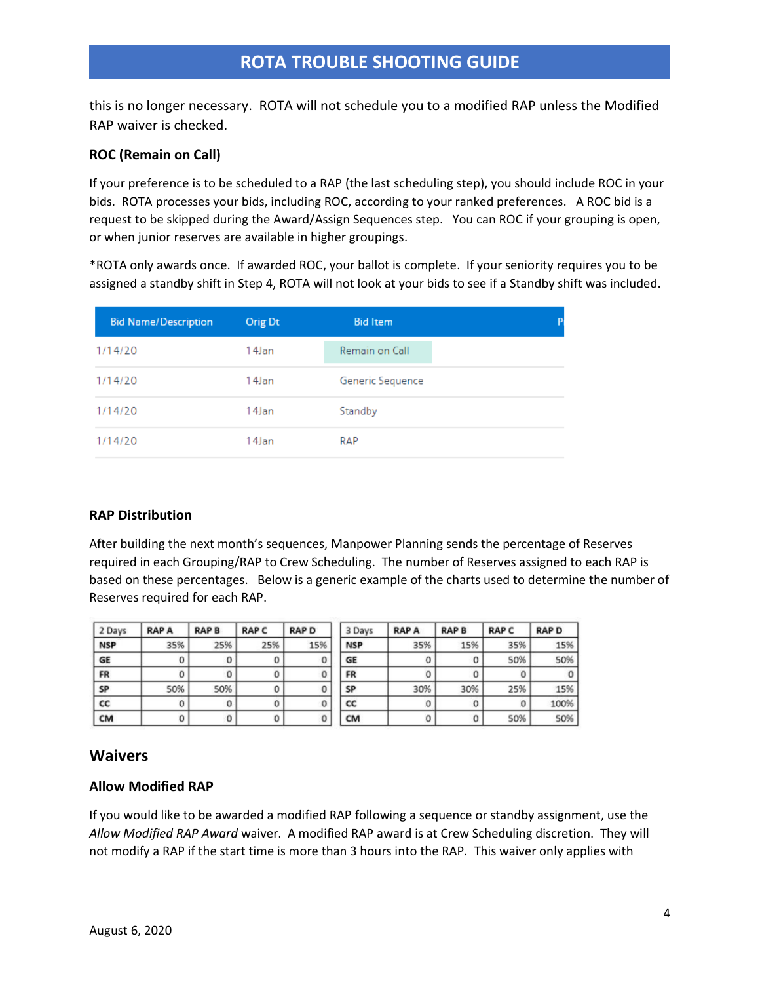this is no longer necessary. ROTA will not schedule you to a modified RAP unless the Modified RAP waiver is checked.

### **ROC (Remain on Call)**

If your preference is to be scheduled to a RAP (the last scheduling step), you should include ROC in your bids. ROTA processes your bids, including ROC, according to your ranked preferences. A ROC bid is a request to be skipped during the Award/Assign Sequences step. You can ROC if your grouping is open, or when junior reserves are available in higher groupings.

\*ROTA only awards once. If awarded ROC, your ballot is complete. If your seniority requires you to be assigned a standby shift in Step 4, ROTA will not look at your bids to see if a Standby shift was included.

| <b>Bid Name/Description</b> | Orig Dt | <b>Bid Item</b>  |  |
|-----------------------------|---------|------------------|--|
| 1/14/20                     | 14Jan   | Remain on Call   |  |
| 1/14/20                     | 14Jan   | Generic Sequence |  |
| 1/14/20                     | 14Jan   | Standby          |  |
| 1/14/20                     | 14Jan   | RAP              |  |

#### **RAP Distribution**

After building the next month's sequences, Manpower Planning sends the percentage of Reserves required in each Grouping/RAP to Crew Scheduling. The number of Reserves assigned to each RAP is based on these percentages. Below is a generic example of the charts used to determine the number of Reserves required for each RAP.

| 2 Days     | <b>RAPA</b> | <b>RAPB</b> | <b>RAPC</b> | <b>RAP D</b> | 3 Days     | <b>RAPA</b> | <b>RAPB</b> | <b>RAP C</b> | <b>RAPD</b> |
|------------|-------------|-------------|-------------|--------------|------------|-------------|-------------|--------------|-------------|
| <b>NSP</b> | 35%         | 25%         | 25%         | 15%          | <b>NSP</b> | 35%         | 15%         | 35%          | 15%         |
| GE         |             | 0           | 0           | 0            | GE         | 0           |             | 50%          | 50%         |
| FR         |             | 0           | 0           | 0            | FR         |             |             | 0            |             |
| SP         | 50%         | 50%         | 0           | 0            | SP         | 30%         | 30%         | 25%          | 15%         |
| cc         |             | 0           | 0           | 0            | CC         |             |             | $\mathbf 0$  | 100%        |
| CM         |             |             |             | 0            | <b>CM</b>  |             |             | 50%          | 50%         |

# <span id="page-3-0"></span>**Waivers**

#### **Allow Modified RAP**

If you would like to be awarded a modified RAP following a sequence or standby assignment, use the *Allow Modified RAP Award* waiver. A modified RAP award is at Crew Scheduling discretion. They will not modify a RAP if the start time is more than 3 hours into the RAP. This waiver only applies with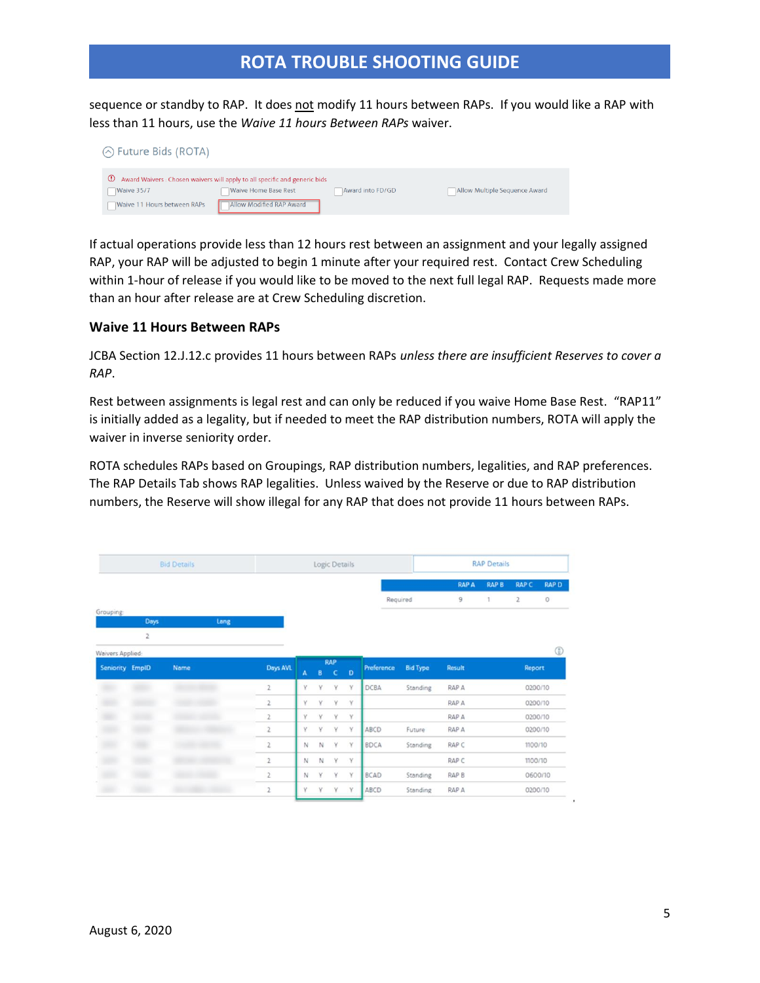sequence or standby to RAP. It does not modify 11 hours between RAPs. If you would like a RAP with less than 11 hours, use the *Waive 11 hours Between RAPs* waiver.

| $\Diamond$ Future Bids (ROTA)                                    |                                                                                                                                      |                  |                               |
|------------------------------------------------------------------|--------------------------------------------------------------------------------------------------------------------------------------|------------------|-------------------------------|
| $\mathbf{C}$<br>Waive 35/7<br><b>Waive 11 Hours between RAPs</b> | Award Waivers: Chosen waivers will apply to all specific and generic bids<br><b>Waive Home Base Rest</b><br>Allow Modified RAP Award | Award into FD/GD | Allow Multiple Sequence Award |

If actual operations provide less than 12 hours rest between an assignment and your legally assigned RAP, your RAP will be adjusted to begin 1 minute after your required rest. Contact Crew Scheduling within 1-hour of release if you would like to be moved to the next full legal RAP. Requests made more than an hour after release are at Crew Scheduling discretion.

#### **Waive 11 Hours Between RAPs**

JCBA Section 12.J.12.c provides 11 hours between RAPs *unless there are insufficient Reserves to cover a RAP*.

Rest between assignments is legal rest and can only be reduced if you waive Home Base Rest. "RAP11" is initially added as a legality, but if needed to meet the RAP distribution numbers, ROTA will apply the waiver in inverse seniority order.

ROTA schedules RAPs based on Groupings, RAP distribution numbers, legalities, and RAP preferences. The RAP Details Tab shows RAP legalities. Unless waived by the Reserve or due to RAP distribution numbers, the Reserve will show illegal for any RAP that does not provide 11 hours between RAPs.

| <b>Bid Details</b> |      |             |      |                         | Logic Details |   |                          |              |              |                 | <b>RAP Details</b> |   |              |            |  |
|--------------------|------|-------------|------|-------------------------|---------------|---|--------------------------|--------------|--------------|-----------------|--------------------|---|--------------|------------|--|
|                    |      |             |      |                         |               |   |                          | <b>RAP A</b> | <b>RAP B</b> | <b>RAP C</b>    | <b>RAP D</b>       |   |              |            |  |
|                    |      |             |      |                         |               |   |                          |              | Required     |                 | 9                  | 1 | $\mathbf{2}$ | $\circ$    |  |
| Grouping           | Days |             | Lang |                         |               |   |                          |              |              |                 |                    |   |              |            |  |
|                    | 2    |             |      |                         |               |   |                          |              |              |                 |                    |   |              |            |  |
| Waivers Applied:   |      |             |      |                         |               |   |                          |              |              |                 |                    |   |              | $\bigcirc$ |  |
| Seniority EmplD    |      | <b>Name</b> |      | Days AVL                | A             | B | <b>RAP</b><br>$\epsilon$ | $\mathbf{D}$ | Preference   | <b>Bid Type</b> | Result             |   | Report       |            |  |
|                    |      |             |      | $\overline{2}$          | V             | v | Y                        | Y            | <b>DCBA</b>  | Standing        | RAP A              |   | 0200/10      |            |  |
|                    |      |             |      | 2                       | Y             | v | Y                        | v            |              |                 | RAP A              |   | 0200/10      |            |  |
|                    |      |             |      | $\overline{\mathbf{c}}$ | v             | v | v                        | V.           |              |                 | RAP A              |   | 0200/10      |            |  |
|                    |      |             |      | $\overline{2}$          | v             | v | γ                        | Y            | ABCD         | Future          | RAP A              |   | 0200/10      |            |  |
|                    |      |             |      | 2                       | N             | N | Y                        | Y            | BDCA         | Standing        | RAP C              |   | 1100/10      |            |  |
|                    |      |             |      | 2                       | N             | N | Y                        | Y            |              |                 | RAP C              |   | 1100/10      |            |  |
|                    |      |             |      | $\overline{c}$          | N             | Y | Y.                       | Y            | <b>BCAD</b>  | Standing        | RAP B              |   | 0600/10      |            |  |
|                    |      |             |      | $\overline{z}$          | ٧             | v | Y                        | Y            | ABCD         | <b>Standing</b> | RAP A              |   | 0200/10      |            |  |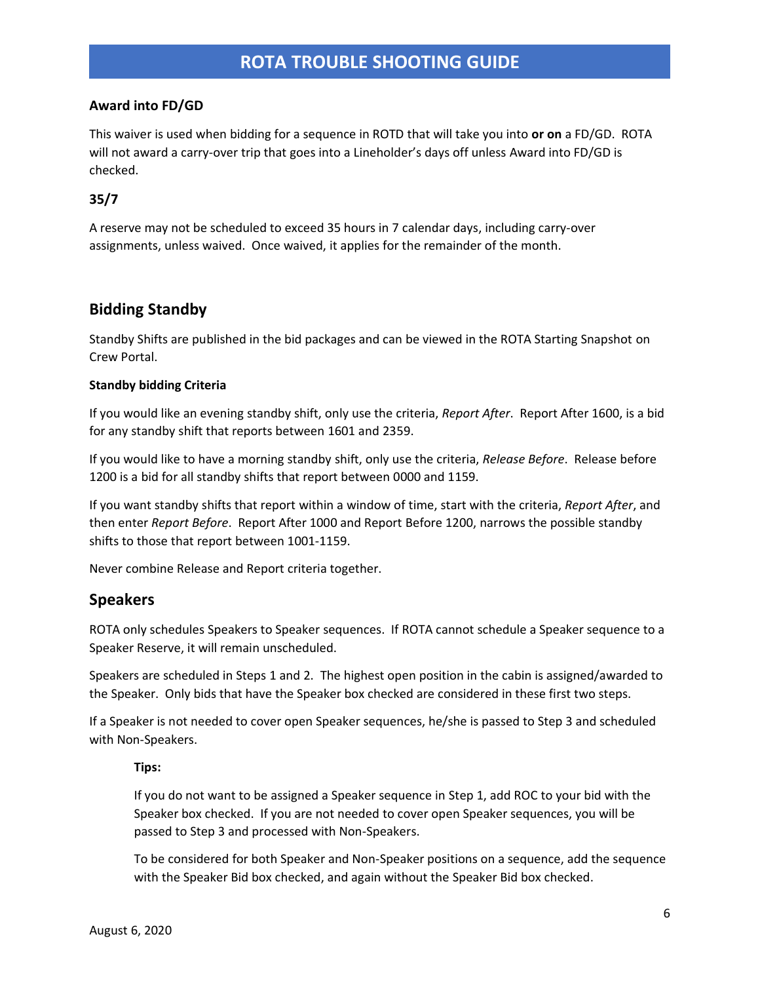## **Award into FD/GD**

This waiver is used when bidding for a sequence in ROTD that will take you into **or on** a FD/GD. ROTA will not award a carry-over trip that goes into a Lineholder's days off unless Award into FD/GD is checked.

## **35/7**

A reserve may not be scheduled to exceed 35 hours in 7 calendar days, including carry-over assignments, unless waived. Once waived, it applies for the remainder of the month.

# <span id="page-5-0"></span>**Bidding Standby**

Standby Shifts are published in the bid packages and can be viewed in the ROTA Starting Snapshot on Crew Portal.

#### **Standby bidding Criteria**

If you would like an evening standby shift, only use the criteria, *Report After*. Report After 1600, is a bid for any standby shift that reports between 1601 and 2359.

If you would like to have a morning standby shift, only use the criteria, *Release Before*. Release before 1200 is a bid for all standby shifts that report between 0000 and 1159.

If you want standby shifts that report within a window of time, start with the criteria, *Report After*, and then enter *Report Before*. Report After 1000 and Report Before 1200, narrows the possible standby shifts to those that report between 1001-1159.

Never combine Release and Report criteria together.

# <span id="page-5-1"></span>**Speakers**

ROTA only schedules Speakers to Speaker sequences. If ROTA cannot schedule a Speaker sequence to a Speaker Reserve, it will remain unscheduled.

Speakers are scheduled in Steps 1 and 2. The highest open position in the cabin is assigned/awarded to the Speaker. Only bids that have the Speaker box checked are considered in these first two steps.

If a Speaker is not needed to cover open Speaker sequences, he/she is passed to Step 3 and scheduled with Non-Speakers.

#### **Tips:**

If you do not want to be assigned a Speaker sequence in Step 1, add ROC to your bid with the Speaker box checked. If you are not needed to cover open Speaker sequences, you will be passed to Step 3 and processed with Non-Speakers.

To be considered for both Speaker and Non-Speaker positions on a sequence, add the sequence with the Speaker Bid box checked, and again without the Speaker Bid box checked.